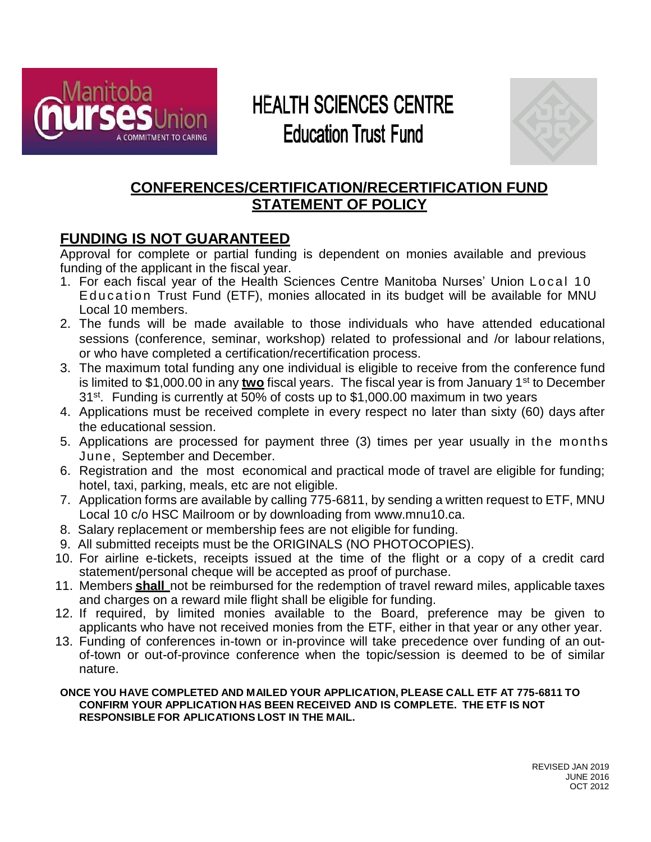

# **HEALTH SCIENCES CENTRE Education Trust Fund**



## **CONFERENCES/CERTIFICATION/RECERTIFICATION FUND STATEMENT OF POLICY**

## **FUNDING IS NOT GUARANTEED**

Approval for complete or partial funding is dependent on monies available and previous funding of the applicant in the fiscal year.

- 1. For each fiscal year of the Health Sciences Centre Manitoba Nurses' Union Local 10 Education Trust Fund (ETF), monies allocated in its budget will be available for MNU Local 10 members.
- 2. The funds will be made available to those individuals who have attended educational sessions (conference, seminar, workshop) related to professional and /or labour relations, or who have completed a certification/recertification process.
- 3. The maximum total funding any one individual is eligible to receive from the conference fund is limited to \$1,000.00 in any *two* fiscal years. The fiscal year is from January 1<sup>st</sup> to December 31<sup>st</sup>. Funding is currently at 50% of costs up to \$1,000.00 maximum in two years
- 4. Applications must be received complete in every respect no later than sixty (60) days after the educational session.
- 5. Applications are processed for payment three (3) times per year usually in the months June, September and December.
- 6. Registration and the most economical and practical mode of travel are eligible for funding; hotel, taxi, parking, meals, etc are not eligible.
- 7. Application forms are available by calling 775-6811, by sending a written request to ETF, MNU Local 10 c/o HSC Mailroom or by downloading from [www.mnu10.ca.](http://www.mnu10.ca/)
- 8. Salary replacement or membership fees are not eligible for funding.
- 9. All submitted receipts must be the ORIGINALS (NO PHOTOCOPIES).
- 10. For airline e-tickets, receipts issued at the time of the flight or a copy of a credit card statement/personal cheque will be accepted as proof of purchase.
- 11. Members **shall** not be reimbursed for the redemption of travel reward miles, applicable taxes and charges on a reward mile flight shall be eligible for funding.
- 12. If required, by limited monies available to the Board, preference may be given to applicants who have not received monies from the ETF, either in that year or any other year.
- 13. Funding of conferences in-town or in-province will take precedence over funding of an outof-town or out-of-province conference when the topic/session is deemed to be of similar nature.

#### **ONCE YOU HAVE COMPLETED AND MAILED YOUR APPLICATION, PLEASE CALL ETF AT 775-6811 TO CONFIRM YOUR APPLICATION HAS BEEN RECEIVED AND IS COMPLETE. THE ETF IS NOT RESPONSIBLE FOR APLICATIONS LOST IN THE MAIL.**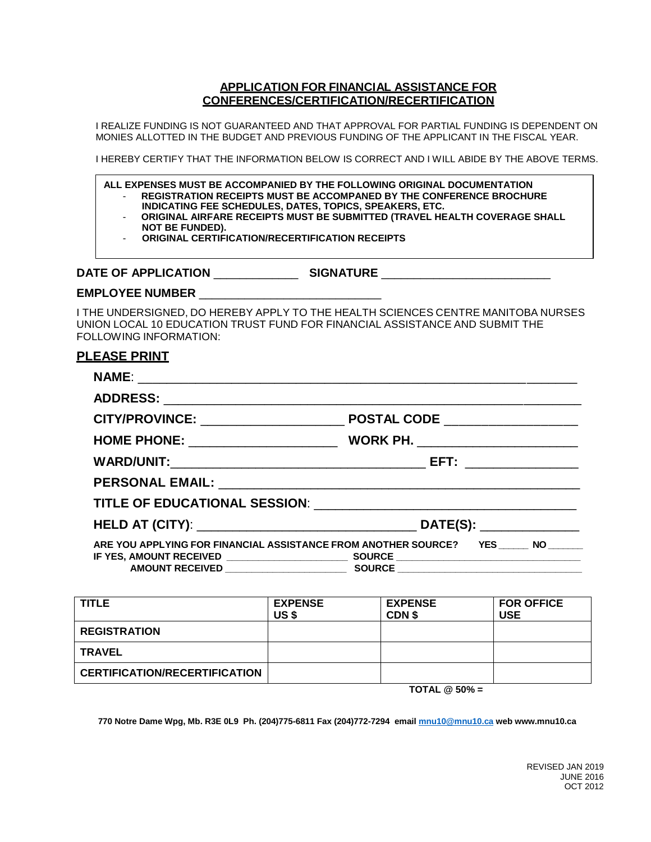#### **APPLICATION FOR FINANCIAL ASSISTANCE FOR CONFERENCES/CERTIFICATION/RECERTIFICATION**

I REALIZE FUNDING IS NOT GUARANTEED AND THAT APPROVAL FOR PARTIAL FUNDING IS DEPENDENT ON MONIES ALLOTTED IN THE BUDGET AND PREVIOUS FUNDING OF THE APPLICANT IN THE FISCAL YEAR.

I HEREBY CERTIFY THAT THE INFORMATION BELOW IS CORRECT AND I WILL ABIDE BY THE ABOVE TERMS.

**ALL EXPENSES MUST BE ACCOMPANIED BY THE FOLLOWING ORIGINAL DOCUMENTATION**

- **REGISTRATION RECEIPTS MUST BE ACCOMPANED BY THE CONFERENCE BROCHURE INDICATING FEE SCHEDULES, DATES, TOPICS, SPEAKERS, ETC.**
	- **ORIGINAL AIRFARE RECEIPTS MUST BE SUBMITTED (TRAVEL HEALTH COVERAGE SHALL NOT BE FUNDED).**
	- **ORIGINAL CERTIFICATION/RECERTIFICATION RECEIPTS**

#### **DATE OF APPLICATION** \_\_\_\_\_\_\_\_\_\_\_\_\_ **SIGNATURE** \_\_\_\_\_\_\_\_\_\_\_\_\_\_\_\_\_\_\_\_\_\_\_\_\_\_

#### **EMPLOYEE NUMBER** \_\_\_\_\_\_\_\_\_\_\_\_\_\_\_\_\_\_\_\_\_\_\_\_\_\_\_\_

I THE UNDERSIGNED, DO HEREBY APPLY TO THE HEALTH SCIENCES CENTRE MANITOBA NURSES UNION LOCAL 10 EDUCATION TRUST FUND FOR FINANCIAL ASSISTANCE AND SUBMIT THE FOLLOWING INFORMATION:

### **PLEASE PRINT**

| ARE YOU APPLYING FOR FINANCIAL ASSISTANCE FROM ANOTHER SOURCE? YES NO |  |  |  |
|-----------------------------------------------------------------------|--|--|--|
|                                                                       |  |  |  |

| <b>TITLE</b>                         | <b>EXPENSE</b>                  | <b>EXPENSE</b> | <b>FOR OFFICE</b> |  |
|--------------------------------------|---------------------------------|----------------|-------------------|--|
|                                      | US \$                           | CDN \$         | <b>USE</b>        |  |
| <b>REGISTRATION</b>                  |                                 |                |                   |  |
| <b>TRAVEL</b>                        |                                 |                |                   |  |
| <b>CERTIFICATION/RECERTIFICATION</b> |                                 |                |                   |  |
|                                      | $T$ $T$ $A$ $I$ $R$ $T$ $A$ $N$ |                |                   |  |

**TOTAL @ 50% =** 

**770 Notre Dame Wpg, Mb. R3E 0L9 Ph. (204)775-6811 Fax (204)772-7294 email [mnu10@mnu10.ca](mailto:mnu10@mnu10.ca) web www.mnu10.ca**